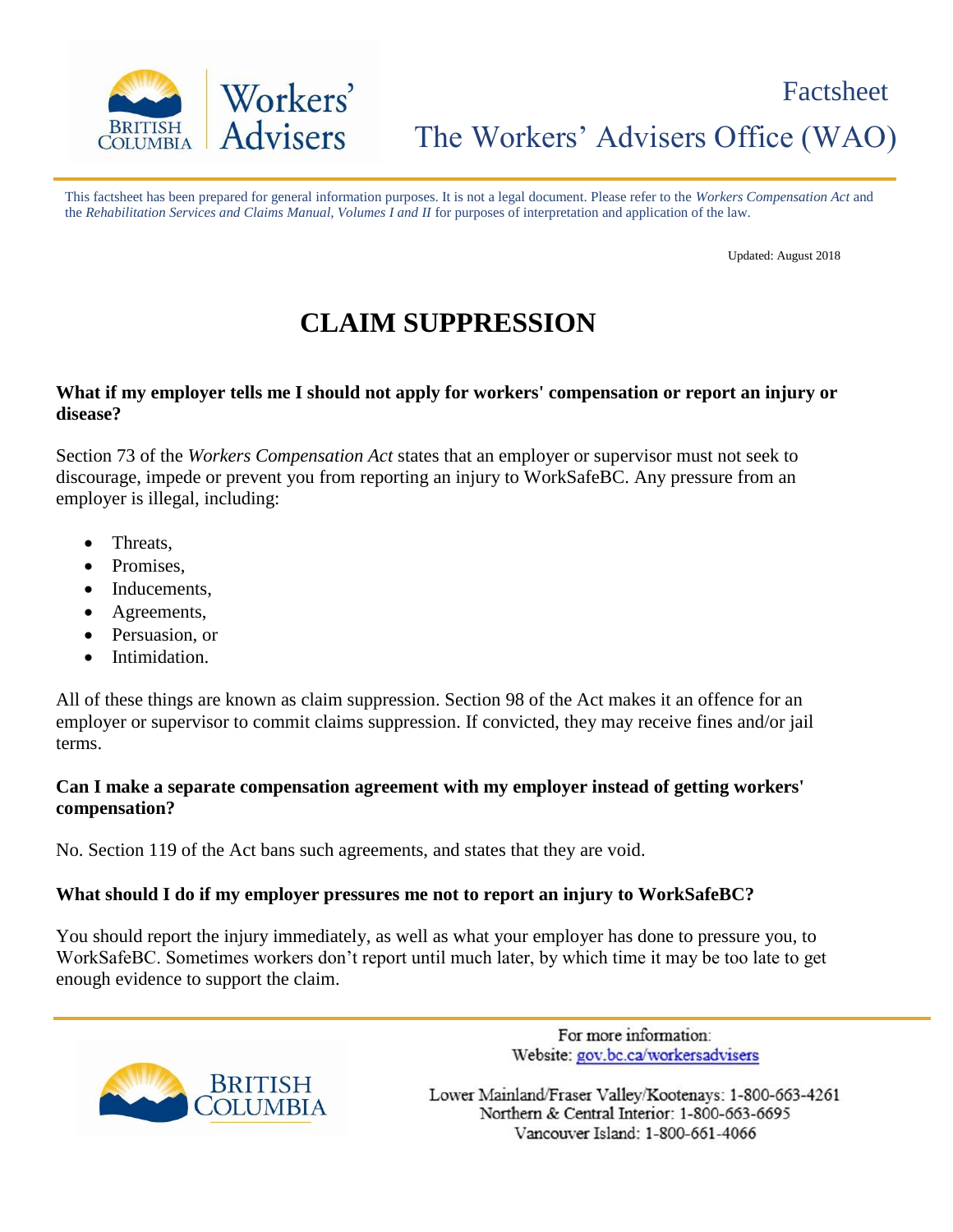

## The Workers' Advisers Office (WAO)

This factsheet has been prepared for general information purposes. It is not a legal document. Please refer to the *Workers Compensation Act* and the *Rehabilitation Services and Claims Manual, Volumes I and II* for purposes of interpretation and application of the law.

Updated: August 2018

### **CLAIM SUPPRESSION**

#### **What if my employer tells me I should not apply for workers' compensation or report an injury or disease?**

Section 73 of the *Workers Compensation Act* states that an employer or supervisor must not seek to discourage, impede or prevent you from reporting an injury to WorkSafeBC. Any pressure from an employer is illegal, including:

- Threats,
- Promises,
- Inducements,
- Agreements,
- Persuasion, or
- Intimidation.

All of these things are known as claim suppression. Section 98 of the Act makes it an offence for an employer or supervisor to commit claims suppression. If convicted, they may receive fines and/or jail terms.

#### **Can I make a separate compensation agreement with my employer instead of getting workers' compensation?**

No. Section 119 of the Act bans such agreements, and states that they are void.

#### **What should I do if my employer pressures me not to report an injury to WorkSafeBC?**

You should report the injury immediately, as well as what your employer has done to pressure you, to WorkSafeBC. Sometimes workers don't report until much later, by which time it may be too late to get enough evidence to support the claim.



For more information: Website: gov.bc.ca/workersadvisers

Lower Mainland/Fraser Valley/Kootenays: 1-800-663-4261 Northern & Central Interior: 1-800-663-6695 Vancouver Island: 1-800-661-4066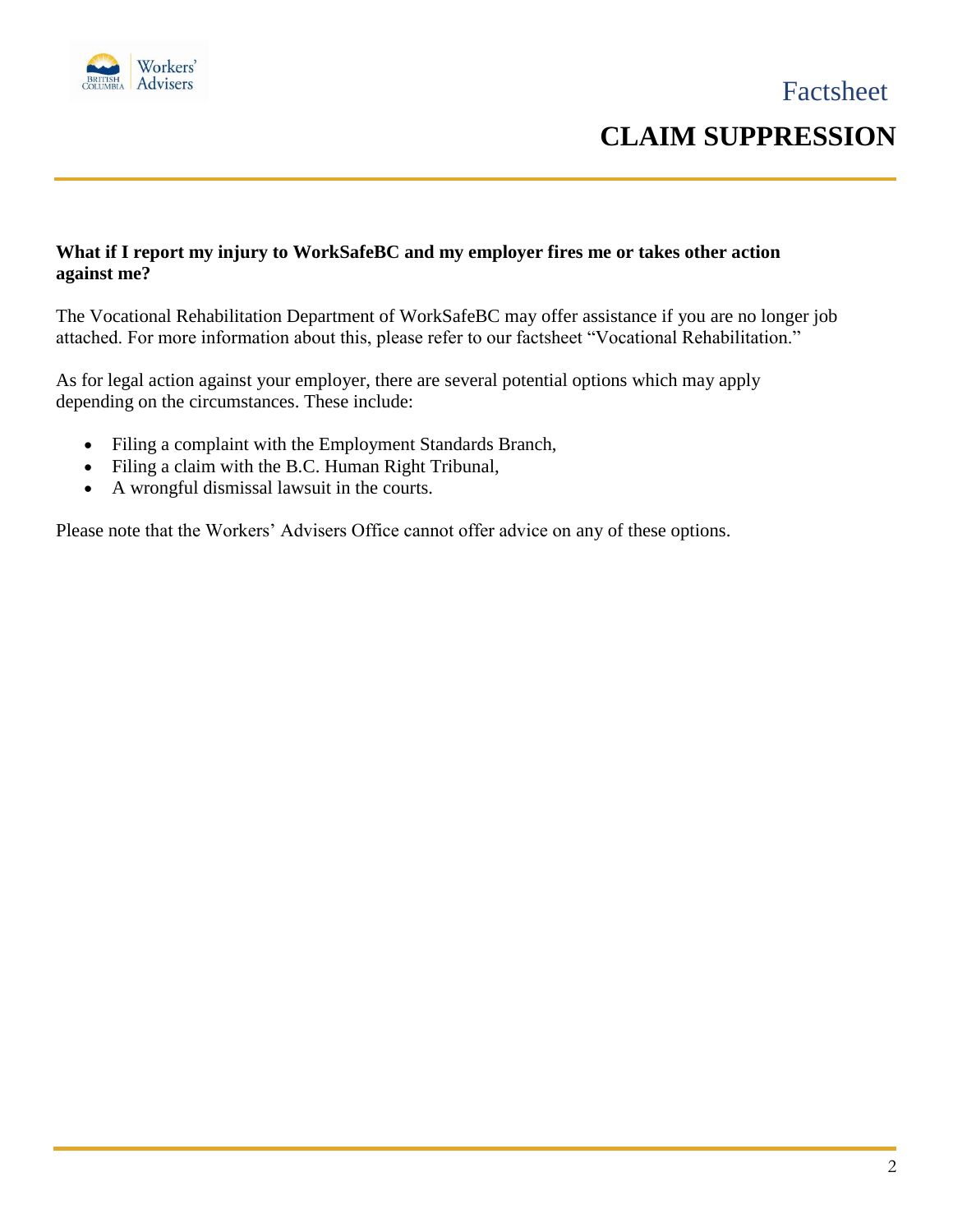

### **CLAIM SUPPRESSION**

#### **What if I report my injury to WorkSafeBC and my employer fires me or takes other action against me?**

The Vocational Rehabilitation Department of WorkSafeBC may offer assistance if you are no longer job attached. For more information about this, please refer to our factsheet "Vocational Rehabilitation."

As for legal action against your employer, there are several potential options which may apply depending on the circumstances. These include:

- Filing a complaint with the Employment Standards Branch,
- Filing a claim with the B.C. Human Right Tribunal,
- A wrongful dismissal lawsuit in the courts.

Please note that the Workers' Advisers Office cannot offer advice on any of these options.